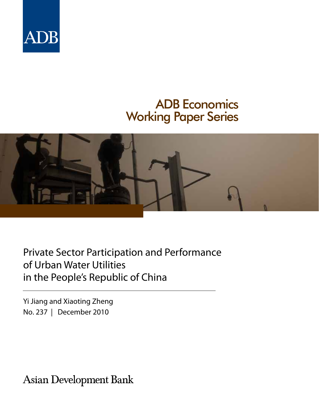

# ADB Economics Working Paper Series



Private Sector Participation and Performance of Urban Water Utilities in the People's Republic of China

Yi Jiang and Xiaoting Zheng No. 237 | December 2010

**Asian Development Bank**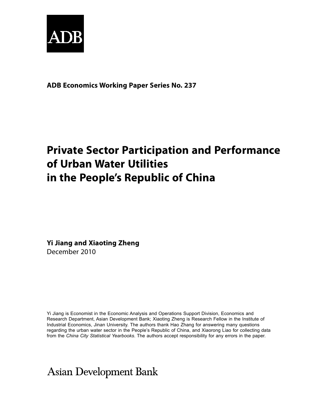

### **ADB Economics Working Paper Series No. 237**

# **Private Sector Participation and Performance of Urban Water Utilities in the People's Republic of China**

**Yi Jiang and Xiaoting Zheng** December 2010

Yi Jiang is Economist in the Economic Analysis and Operations Support Division, Economics and Research Department, Asian Development Bank; Xiaoting Zheng is Research Fellow in the Institute of Industrial Economics, Jinan University. The authors thank Hao Zhang for answering many questions regarding the urban water sector in the People's Republic of China, and Xiaorong Liao for collecting data from the *China City Statistical Yearbooks*. The authors accept responsibility for any errors in the paper.

# **Asian Development Bank**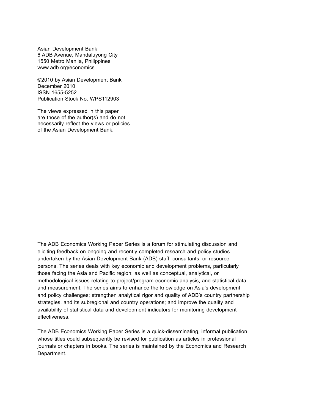Asian Development Bank 6 ADB Avenue, Mandaluyong City 1550 Metro Manila, Philippines www.adb.org/economics

©2010 by Asian Development Bank December 2010 ISSN 1655-5252 Publication Stock No. WPS112903

The views expressed in this paper are those of the author(s) and do not necessarily reflect the views or policies of the Asian Development Bank.

The ADB Economics Working Paper Series is a forum for stimulating discussion and eliciting feedback on ongoing and recently completed research and policy studies undertaken by the Asian Development Bank (ADB) staff, consultants, or resource persons. The series deals with key economic and development problems, particularly those facing the Asia and Pacific region; as well as conceptual, analytical, or methodological issues relating to project/program economic analysis, and statistical data and measurement. The series aims to enhance the knowledge on Asia's development and policy challenges; strengthen analytical rigor and quality of ADB's country partnership strategies, and its subregional and country operations; and improve the quality and availability of statistical data and development indicators for monitoring development effectiveness.

The ADB Economics Working Paper Series is a quick-disseminating, informal publication whose titles could subsequently be revised for publication as articles in professional journals or chapters in books. The series is maintained by the Economics and Research Department.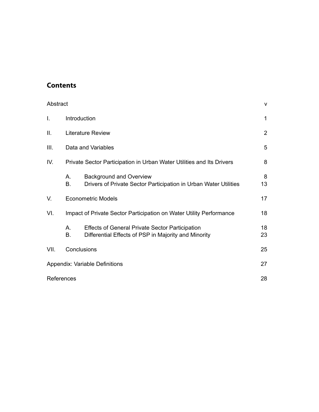### **Contents**

| Abstract |               |                                                                                                                | v              |
|----------|---------------|----------------------------------------------------------------------------------------------------------------|----------------|
| I.       |               | Introduction                                                                                                   | 1              |
| Ш.       |               | <b>Literature Review</b>                                                                                       | $\overline{2}$ |
| III.     |               | Data and Variables                                                                                             | 5              |
| IV.      |               | Private Sector Participation in Urban Water Utilities and Its Drivers                                          | 8              |
|          | Α.<br>Β.      | <b>Background and Overview</b><br>Drivers of Private Sector Participation in Urban Water Utilities             | 8<br>13        |
| V.       |               | <b>Econometric Models</b>                                                                                      | 17             |
| VI.      |               | Impact of Private Sector Participation on Water Utility Performance                                            | 18             |
|          | $A_{1}$<br>В. | <b>Effects of General Private Sector Participation</b><br>Differential Effects of PSP in Majority and Minority | 18<br>23       |
| VII.     |               | Conclusions                                                                                                    | 25             |
|          |               | Appendix: Variable Definitions                                                                                 | 27             |
|          | References    |                                                                                                                | 28             |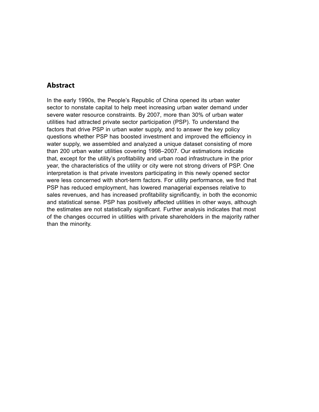### <span id="page-6-0"></span>**Abstract**

In the early 1990s, the People's Republic of China opened its urban water sector to nonstate capital to help meet increasing urban water demand under severe water resource constraints. By 2007, more than 30% of urban water utilities had attracted private sector participation (PSP). To understand the factors that drive PSP in urban water supply, and to answer the key policy questions whether PSP has boosted investment and improved the efficiency in water supply, we assembled and analyzed a unique dataset consisting of more than 200 urban water utilities covering 1998–2007. Our estimations indicate that, except for the utility's profitability and urban road infrastructure in the prior year, the characteristics of the utility or city were not strong drivers of PSP. One interpretation is that private investors participating in this newly opened sector were less concerned with short-term factors. For utility performance, we find that PSP has reduced employment, has lowered managerial expenses relative to sales revenues, and has increased profitability significantly, in both the economic and statistical sense. PSP has positively affected utilities in other ways, although the estimates are not statistically significant. Further analysis indicates that most of the changes occurred in utilities with private shareholders in the majority rather than the minority.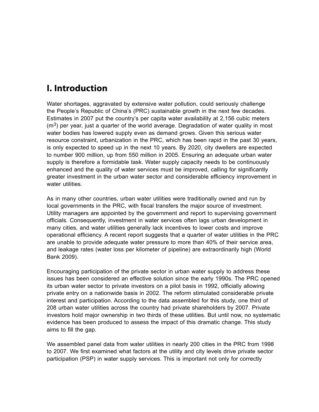## <span id="page-8-0"></span>**I. Introduction**

Water shortages, aggravated by extensive water pollution, could seriously challenge the People's Republic of China's (PRC) sustainable growth in the next few decades. Estimates in 2007 put the country's per capita water availability at 2,156 cubic meters  $(m<sup>3</sup>)$  per year, just a quarter of the world average. Degradation of water quality in most water bodies has lowered supply even as demand grows. Given this serious water resource constraint, urbanization in the PRC, which has been rapid in the past 30 years, is only expected to speed up in the next 10 years. By 2020, city dwellers are expected to number 900 million, up from 550 million in 2005. Ensuring an adequate urban water supply is therefore a formidable task. Water supply capacity needs to be continuously enhanced and the quality of water services must be improved, calling for significantly greater investment in the urban water sector and considerable efficiency improvement in water utilities.

As in many other countries, urban water utilities were traditionally owned and run by local governments in the PRC, with fiscal transfers the major source of investment. Utility managers are appointed by the government and report to supervising government officials. Consequently, investment in water services often lags urban development in many cities, and water utilities generally lack incentives to lower costs and improve operational efficiency. A recent report suggests that a quarter of water utilities in the PRC are unable to provide adequate water pressure to more than 40% of their service area, and leakage rates (water loss per kilometer of pipeline) are extraordinarily high (World Bank 2009).

Encouraging participation of the private sector in urban water supply to address these issues has been considered an effective solution since the early 1990s. The PRC opened its urban water sector to private investors on a pilot basis in 1992, officially allowing private entry on a nationwide basis in 2002. The reform stimulated considerable private interest and participation. According to the data assembled for this study, one third of 208 urban water utilities across the country had private shareholders by 2007. Private investors hold major ownership in two thirds of these utilities. But until now, no systematic evidence has been produced to assess the impact of this dramatic change. This study aims to fill the gap.

We assembled panel data from water utilities in nearly 200 cities in the PRC from 1998 to 2007. We first examined what factors at the utility and city levels drive private sector participation (PSP) in water supply services. This is important not only for correctly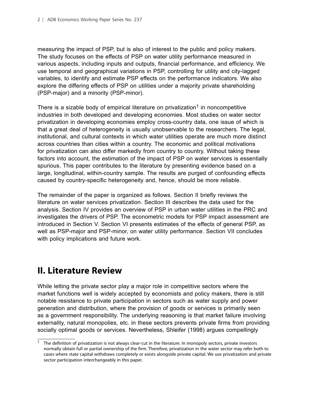<span id="page-9-0"></span>measuring the impact of PSP, but is also of interest to the public and policy makers. The study focuses on the effects of PSP on water utility performance measured in various aspects, including inputs and outputs, financial performance, and efficiency. We use temporal and geographical variations in PSP, controlling for utility and city-lagged variables, to identify and estimate PSP effects on the performance indicators. We also explore the differing effects of PSP on utilities under a majority private shareholding (PSP-major) and a minority (PSP-minor).

There is a sizable body of empirical literature on privatization<sup>1</sup> in noncompetitive industries in both developed and developing economies. Most studies on water sector privatization in developing economies employ cross-country data, one issue of which is that a great deal of heterogeneity is usually unobservable to the researchers. The legal, institutional, and cultural contexts in which water utilities operate are much more distinct across countries than cities within a country. The economic and political motivations for privatization can also differ markedly from country to country. Without taking these factors into account, the estimation of the impact of PSP on water services is essentially spurious. This paper contributes to the literature by presenting evidence based on a large, longitudinal, within-country sample. The results are purged of confounding effects caused by country-specific heterogeneity and, hence, should be more reliable.

The remainder of the paper is organized as follows. Section II briefly reviews the literature on water services privatization. Section III describes the data used for the analysis. Section IV provides an overview of PSP in urban water utilities in the PRC and investigates the drivers of PSP. The econometric models for PSP impact assessment are introduced in Section V. Section VI presents estimates of the effects of general PSP, as well as PSP-major and PSP-minor, on water utility performance. Section VII concludes with policy implications and future work.

### **II. Literature Review**

While letting the private sector play a major role in competitive sectors where the market functions well is widely accepted by economists and policy makers, there is still notable resistance to private participation in sectors such as water supply and power generation and distribution, where the provision of goods or services is primarily seen as a government responsibility. The underlying reasoning is that market failure involving externality, natural monopolies, etc. in these sectors prevents private firms from providing socially optimal goods or services. Nevertheless, Shleifer (1998) argues compellingly

<sup>1</sup> The definition of privatization is not always clear-cut in the literature. In monopoly sectors, private investors normally obtain full or partial ownership of the firm. Therefore, privatization in the water sector may refer both to cases where state capital withdraws completely or exists alongside private capital. We use privatization and private sector participation interchangeably in this paper.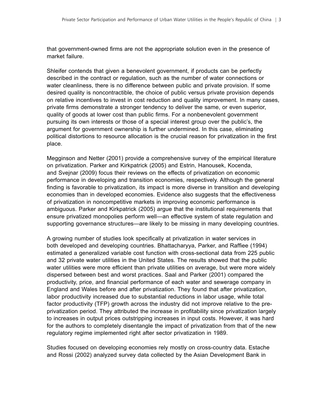that government-owned firms are not the appropriate solution even in the presence of market failure.

Shleifer contends that given a benevolent government, if products can be perfectly described in the contract or regulation, such as the number of water connections or water cleanliness, there is no difference between public and private provision. If some desired quality is noncontractible, the choice of public versus private provision depends on relative incentives to invest in cost reduction and quality improvement. In many cases, private firms demonstrate a stronger tendency to deliver the same, or even superior, quality of goods at lower cost than public firms. For a nonbenevolent government pursuing its own interests or those of a special interest group over the public's, the argument for government ownership is further undermined. In this case, eliminating political distortions to resource allocation is the crucial reason for privatization in the first place.

Megginson and Netter (2001) provide a comprehensive survey of the empirical literature on privatization. Parker and Kirkpatrick (2005) and Estrin, Hanousek, Kocenda, and Svejnar (2009) focus their reviews on the effects of privatization on economic performance in developing and transition economies, respectively. Although the general finding is favorable to privatization, its impact is more diverse in transition and developing economies than in developed economies. Evidence also suggests that the effectiveness of privatization in noncompetitive markets in improving economic performance is ambiguous. Parker and Kirkpatrick (2005) argue that the institutional requirements that ensure privatized monopolies perform well—an effective system of state regulation and supporting governance structures—are likely to be missing in many developing countries.

A growing number of studies look specifically at privatization in water services in both developed and developing countries. Bhattacharyya, Parker, and Raffiee (1994) estimated a generalized variable cost function with cross-sectional data from 225 public and 32 private water utilities in the United States. The results showed that the public water utilities were more efficient than private utilities on average, but were more widely dispersed between best and worst practices. Saal and Parker (2001) compared the productivity, price, and financial performance of each water and sewerage company in England and Wales before and after privatization. They found that after privatization, labor productivity increased due to substantial reductions in labor usage, while total factor productivity (TFP) growth across the industry did not improve relative to the preprivatization period. They attributed the increase in profitability since privatization largely to increases in output prices outstripping increases in input costs. However, it was hard for the authors to completely disentangle the impact of privatization from that of the new regulatory regime implemented right after sector privatization in 1989.

Studies focused on developing economies rely mostly on cross-country data. Estache and Rossi (2002) analyzed survey data collected by the Asian Development Bank in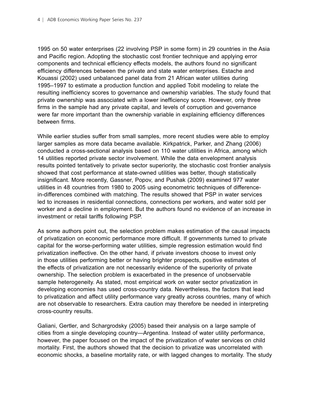1995 on 50 water enterprises (22 involving PSP in some form) in 29 countries in the Asia and Pacific region. Adopting the stochastic cost frontier technique and applying error components and technical efficiency effects models, the authors found no significant efficiency differences between the private and state water enterprises. Estache and Kouassi (2002) used unbalanced panel data from 21 African water utilities during 1995–1997 to estimate a production function and applied Tobit modeling to relate the resulting inefficiency scores to governance and ownership variables. The study found that private ownership was associated with a lower inefficiency score. However, only three firms in the sample had any private capital, and levels of corruption and governance were far more important than the ownership variable in explaining efficiency differences between firms.

While earlier studies suffer from small samples, more recent studies were able to employ larger samples as more data became available. Kirkpatrick, Parker, and Zhang (2006) conducted a cross-sectional analysis based on 110 water utilities in Africa, among which 14 utilities reported private sector involvement. While the data envelopment analysis results pointed tentatively to private sector superiority, the stochastic cost frontier analysis showed that cost performance at state-owned utilities was better, though statistically insignificant. More recently, Gassner, Popov, and Pushak (2009) examined 977 water utilities in 48 countries from 1980 to 2005 using econometric techniques of differencein-differences combined with matching. The results showed that PSP in water services led to increases in residential connections, connections per workers, and water sold per worker and a decline in employment. But the authors found no evidence of an increase in investment or retail tariffs following PSP.

As some authors point out, the selection problem makes estimation of the causal impacts of privatization on economic performance more difficult. If governments turned to private capital for the worse-performing water utilities, simple regression estimation would find privatization ineffective. On the other hand, if private investors choose to invest only in those utilities performing better or having brighter prospects, positive estimates of the effects of privatization are not necessarily evidence of the superiority of private ownership. The selection problem is exacerbated in the presence of unobservable sample heterogeneity. As stated, most empirical work on water sector privatization in developing economies has used cross-country data. Nevertheless, the factors that lead to privatization and affect utility performance vary greatly across countries, many of which are not observable to researchers. Extra caution may therefore be needed in interpreting cross-country results.

Galiani, Gertler, and Schargrodsky (2005) based their analysis on a large sample of cities from a single developing country—Argentina. Instead of water utility performance, however, the paper focused on the impact of the privatization of water services on child mortality. First, the authors showed that the decision to privatize was uncorrelated with economic shocks, a baseline mortality rate, or with lagged changes to mortality. The study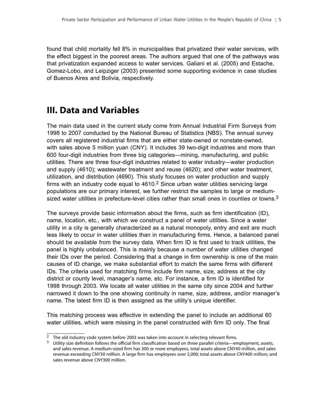<span id="page-12-0"></span>found that child mortality fell 8% in municipalities that privatized their water services, with the effect biggest in the poorest areas. The authors argued that one of the pathways was that privatization expanded access to water services. Galiani et al. (2005) and Estache, Gomez-Lobo, and Leipziger (2003) presented some supporting evidence in case studies of Buenos Aires and Bolivia, respectively.

### **III. Data and Variables**

The main data used in the current study come from Annual Industrial Firm Surveys from 1998 to 2007 conducted by the National Bureau of Statistics (NBS). The annual survey covers all registered industrial firms that are either state-owned or nonstate-owned, with sales above 5 million yuan (CNY). It includes 39 two-digit industries and more than 600 four-digit industries from three big categories—mining, manufacturing, and public utilities. There are three four-digit industries related to water industry—water production and supply (4610); wastewater treatment and reuse (4620); and other water treatment, utilization, and distribution (4690). This study focuses on water production and supply firms with an industry code equal to  $4610<sup>2</sup>$  Since urban water utilities servicing large populations are our primary interest, we further restrict the samples to large or mediumsized water utilities in prefecture-level cities rather than small ones in counties or towns. $3$ 

The surveys provide basic information about the firms, such as firm identification (ID), name, location, etc., with which we construct a panel of water utilities. Since a water utility in a city is generally characterized as a natural monopoly, entry and exit are much less likely to occur in water utilities than in manufacturing firms. Hence, a balanced panel should be available from the survey data. When firm ID is first used to track utilities, the panel is highly unbalanced. This is mainly because a number of water utilities changed their IDs over the period. Considering that a change in firm ownership is one of the main causes of ID change, we make substantial effort to match the same firms with different IDs. The criteria used for matching firms include firm name, size, address at the city district or county level, manager's name, etc. For instance, a firm ID is identified for 1998 through 2003. We locate all water utilities in the same city since 2004 and further narrowed it down to the one showing continuity in name, size, address, and/or manager's name. The latest firm ID is then assigned as the utility's unique identifier.

This matching process was effective in extending the panel to include an additional 60 water utilities, which were missing in the panel constructed with firm ID only. The final

<sup>&</sup>lt;sup>2</sup> The old industry code system before 2003 was taken into account in selecting relevant firms.

<sup>&</sup>lt;sup>3</sup> Utility size definition follows the official firm classification based on three parallel criteria—employment, assets, and sales revenue. A medium-sized firm has 300 or more employees, total assets above CNY40 million, and sales revenue exceeding CNY30 million. A large firm has employees over 2,000; total assets above CNY400 million; and sales revenue above CNY300 million.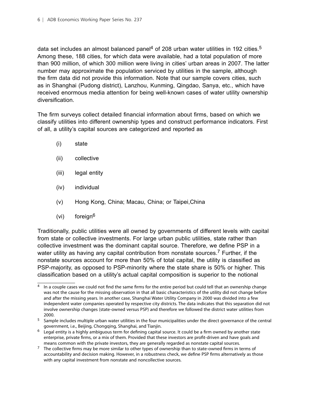data set includes an almost balanced panel<sup>4</sup> of 208 urban water utilities in 192 cities.<sup>5</sup> Among these, 188 cities, for which data were available, had a total population of more than 900 million, of which 300 million were living in cities' urban areas in 2007. The latter number may approximate the population serviced by utilities in the sample, although the firm data did not provide this information. Note that our sample covers cities, such as in Shanghai (Pudong district), Lanzhou, Kunming, Qingdao, Sanya, etc., which have received enormous media attention for being well-known cases of water utility ownership diversification.

The firm surveys collect detailed financial information about firms, based on which we classify utilities into different ownership types and construct performance indicators. First of all, a utility's capital sources are categorized and reported as

- (i) state
- (ii) collective
- (iii) legal entity
- (iv) individual
- (v) Hong Kong, China; Macau, China; or Taipei,China
- (vi) foreign<sup>6</sup>

Traditionally, public utilities were all owned by governments of different levels with capital from state or collective investments. For large urban public utilities, state rather than collective investment was the dominant capital source. Therefore, we define PSP in a water utility as having any capital contribution from nonstate sources.<sup>7</sup> Further, if the nonstate sources account for more than 50% of total capital, the utility is classified as PSP-majority, as opposed to PSP-minority where the state share is 50% or higher. This classification based on a utility's actual capital composition is superior to the notional

<sup>&</sup>lt;sup>4</sup> In a couple cases we could not find the same firms for the entire period but could tell that an ownership change was not the cause for the missing observation in that all basic characteristics of the utility did not change before and after the missing years. In another case, Shanghai Water Utility Company in 2000 was divided into a few independent water companies operated by respective city districts. The data indicates that this separation did not involve ownership changes (state-owned versus PSP) and therefore we followed the district water utilities from 2000.

<sup>&</sup>lt;sup>5</sup> Sample includes multiple urban water utilities in the four municipalities under the direct governance of the central government, i.e., Beijing, Chongqing, Shanghai, and Tianjin.

<sup>6</sup> Legal entity is a highly ambiguous term for defining capital source. It could be a firm owned by another state enterprise, private firms, or a mix of them. Provided that these investors are profit-driven and have goals and means common with the private investors, they are generally regarded as nonstate capital sources.

<sup>&</sup>lt;sup>7</sup> The collective firms may be more similar to other types of ownership than to state-owned firms in terms of accountability and decision making. However, in a robustness check, we define PSP firms alternatively as those with any capital investment from nonstate and noncollective sources.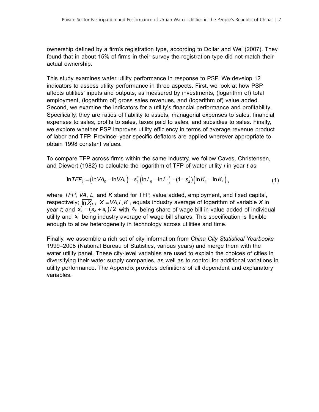ownership defined by a firm's registration type, according to Dollar and Wei (2007). They found that in about 15% of firms in their survey the registration type did not match their actual ownership.

This study examines water utility performance in response to PSP. We develop 12 indicators to assess utility performance in three aspects. First, we look at how PSP affects utilities' inputs and outputs, as measured by investments, (logarithm of) total employment, (logarithm of) gross sales revenues, and (logarithm of) value added. Second, we examine the indicators for a utility's financial performance and profitability. Specifically, they are ratios of liability to assets, managerial expenses to sales, financial expenses to sales, profits to sales, taxes paid to sales, and subsidies to sales. Finally, we explore whether PSP improves utility efficiency in terms of average revenue product of labor and TFP. Province–year specific deflators are applied wherever appropriate to obtain 1998 constant values.

To compare TFP across firms within the same industry, we follow Caves, Christensen, and Diewert (1982) to calculate the logarithm of TFP of water utility *i* in year *t* as

$$
\ln TFP_{it} = \left(\ln VA_{it} - \overline{\ln VA}_{t}\right) - s_{it}^{*}\left(\ln L_{it} - \overline{\ln L}_{t}\right) - (1 - s_{it}^{*})\left(\ln K_{it} - \overline{\ln K}_{t}\right),\tag{1}
$$

where *TFP*, *VA*, *L*, and *K* stand for TFP, value added, employment, and fixed capital, respectively;  $\overline{\mathsf{p}_k}$ ,  $X = VA, L, K$ , equals industry average of logarithm of variable X in year *t*; and  $s_{it}^* = (s_{it} + \overline{s}_t)/2$  with  $s_{it}$  being share of wage bill in value added of individual utility and  $\bar{s}$  being industry average of wage bill shares. This specification is flexible enough to allow heterogeneity in technology across utilities and time.

Finally, we assemble a rich set of city information from *China City Statistical Yearbooks* 1999–2008 (National Bureau of Statistics, various years) and merge them with the water utility panel. These city-level variables are used to explain the choices of cities in diversifying their water supply companies, as well as to control for additional variations in utility performance. The Appendix provides definitions of all dependent and explanatory variables.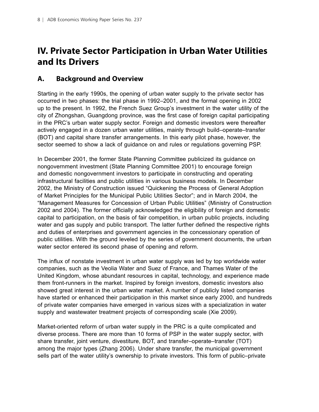# <span id="page-15-0"></span>**IV. Private Sector Participation in Urban Water Utilities and Its Drivers**

### **A. Background and Overview**

Starting in the early 1990s, the opening of urban water supply to the private sector has occurred in two phases: the trial phase in 1992–2001, and the formal opening in 2002 up to the present. In 1992, the French Suez Group's investment in the water utility of the city of Zhongshan, Guangdong province, was the first case of foreign capital participating in the PRC's urban water supply sector. Foreign and domestic investors were thereafter actively engaged in a dozen urban water utilities, mainly through build–operate–transfer (BOT) and capital share transfer arrangements. In this early pilot phase, however, the sector seemed to show a lack of guidance on and rules or regulations governing PSP.

In December 2001, the former State Planning Committee publicized its guidance on nongovernment investment (State Planning Committee 2001) to encourage foreign and domestic nongovernment investors to participate in constructing and operating infrastructural facilities and public utilities in various business models. In December 2002, the Ministry of Construction issued "Quickening the Process of General Adoption of Market Principles for the Municipal Public Utilities Sector"; and in March 2004, the "Management Measures for Concession of Urban Public Utilities" (Ministry of Construction 2002 and 2004). The former officially acknowledged the eligibility of foreign and domestic capital to participation, on the basis of fair competition, in urban public projects, including water and gas supply and public transport. The latter further defined the respective rights and duties of enterprises and government agencies in the concessionary operation of public utilities. With the ground leveled by the series of government documents, the urban water sector entered its second phase of opening and reform.

The influx of nonstate investment in urban water supply was led by top worldwide water companies, such as the Veolia Water and Suez of France, and Thames Water of the United Kingdom, whose abundant resources in capital, technology, and experience made them front-runners in the market. Inspired by foreign investors, domestic investors also showed great interest in the urban water market. A number of publicly listed companies have started or enhanced their participation in this market since early 2000, and hundreds of private water companies have emerged in various sizes with a specialization in water supply and wastewater treatment projects of corresponding scale (Xie 2009).

Market-oriented reform of urban water supply in the PRC is a quite complicated and diverse process. There are more than 10 forms of PSP in the water supply sector, with share transfer, joint venture, divestiture, BOT, and transfer–operate–transfer (TOT) among the major types (Zhang 2006). Under share transfer, the municipal government sells part of the water utility's ownership to private investors. This form of public–private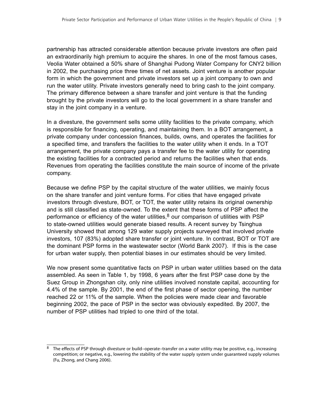partnership has attracted considerable attention because private investors are often paid an extraordinarily high premium to acquire the shares. In one of the most famous cases, Veolia Water obtained a 50% share of Shanghai Pudong Water Company for CNY2 billion in 2002, the purchasing price three times of net assets. Joint venture is another popular form in which the government and private investors set up a joint company to own and run the water utility. Private investors generally need to bring cash to the joint company. The primary difference between a share transfer and joint venture is that the funding brought by the private investors will go to the local government in a share transfer and stay in the joint company in a venture.

In a divesture, the government sells some utility facilities to the private company, which is responsible for financing, operating, and maintaining them. In a BOT arrangement, a private company under concession finances, builds, owns, and operates the facilities for a specified time, and transfers the facilities to the water utility when it ends. In a TOT arrangement, the private company pays a transfer fee to the water utility for operating the existing facilities for a contracted period and returns the facilities when that ends. Revenues from operating the facilities constitute the main source of income of the private company.

Because we define PSP by the capital structure of the water utilities, we mainly focus on the share transfer and joint venture forms. For cities that have engaged private investors through divesture, BOT, or TOT, the water utility retains its original ownership and is still classified as state-owned. To the extent that these forms of PSP affect the performance or efficiency of the water utilities, $8$  our comparison of utilities with PSP to state-owned utilities would generate biased results. A recent survey by Tsinghua University showed that among 129 water supply projects surveyed that involved private investors, 107 (83%) adopted share transfer or joint venture. In contrast, BOT or TOT are the dominant PSP forms in the wastewater sector (World Bank 2007). If this is the case for urban water supply, then potential biases in our estimates should be very limited.

We now present some quantitative facts on PSP in urban water utilities based on the data assembled. As seen in Table 1, by 1998, 6 years after the first PSP case done by the Suez Group in Zhongshan city, only nine utilities involved nonstate capital, accounting for 4.4% of the sample. By 2001, the end of the first phase of sector opening, the number reached 22 or 11% of the sample. When the policies were made clear and favorable beginning 2002, the pace of PSP in the sector was obviously expedited. By 2007, the number of PSP utilities had tripled to one third of the total.

<sup>&</sup>lt;sup>8</sup> The effects of PSP through divesture or build–operate–transfer on a water utility may be positive, e.g., increasing competition; or negative, e.g., lowering the stability of the water supply system under guaranteed supply volumes (Fu, Zhong, and Chang 2006).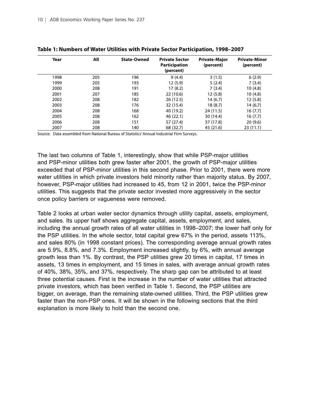| Year | All | <b>State-Owned</b> | <b>Private Sector</b><br><b>Participation</b><br>(percent) | <b>Private-Major</b><br>(percent) | <b>Private-Minor</b><br>(percent) |
|------|-----|--------------------|------------------------------------------------------------|-----------------------------------|-----------------------------------|
| 1998 | 205 | 196                | 9(4.4)                                                     | 3(1.5)                            | 6(2.9)                            |
| 1999 | 205 | 193                | 12(5.9)                                                    | 5(2.4)                            | 7(3.4)                            |
| 2000 | 208 | 191                | 17(8.2)                                                    | 7(3.4)                            | 10(4.8)                           |
| 2001 | 207 | 185                | 22(10.6)                                                   | 12(5.8)                           | 10(4.8)                           |
| 2002 | 208 | 182                | 26(12.5)                                                   | 14(6.7)                           | 12(5.8)                           |
| 2003 | 208 | 176                | 32 (15.4)                                                  | 18(8.7)                           | 14(6.7)                           |
| 2004 | 208 | 168                | 40 (19.2)                                                  | 24 (11.5)                         | 16(7.7)                           |
| 2005 | 208 | 162                | 46(22.1)                                                   | 30 (14.4)                         | 16(7.7)                           |
| 2006 | 208 | 151                | 57 (27.4)                                                  | 37 (17.8)                         | 20(9.6)                           |
| 2007 | 208 | 140                | 68 (32.7)                                                  | 45 (21.6)                         | 23(11.1)                          |

| Table 1: Numbers of Water Utilities with Private Sector Participation, 1998-2007 |  |  |  |  |
|----------------------------------------------------------------------------------|--|--|--|--|
|----------------------------------------------------------------------------------|--|--|--|--|

Source: Data assembled from National Bureau of Statistics' Annual Industrial Firm Surveys.

The last two columns of Table 1, interestingly, show that while PSP-major utilities and PSP-minor utilities both grew faster after 2001, the growth of PSP-major utilities exceeded that of PSP-minor utilities in this second phase. Prior to 2001, there were more water utilities in which private investors held minority rather than majority status. By 2007, however, PSP-major utilities had increased to 45, from 12 in 2001, twice the PSP-minor utilities. This suggests that the private sector invested more aggressively in the sector once policy barriers or vagueness were removed.

Table 2 looks at urban water sector dynamics through utility capital, assets, employment, and sales. Its upper half shows aggregate capital, assets, employment, and sales, including the annual growth rates of all water utilities in 1998–2007; the lower half only for the PSP utilities. In the whole sector, total capital grew 67% in the period, assets 113%, and sales 80% (in 1998 constant prices). The corresponding average annual growth rates are 5.9%, 8.8%, and 7.3%. Employment increased slightly, by 6%, with annual average growth less than 1%. By contrast, the PSP utilities grew 20 times in capital, 17 times in assets, 13 times in employment, and 15 times in sales, with average annual growth rates of 40%, 38%, 35%, and 37%, respectively. The sharp gap can be attributed to at least three potential causes. First is the increase in the number of water utilities that attracted private investors, which has been verified in Table 1. Second, the PSP utilities are bigger, on average, than the remaining state-owned utilities. Third, the PSP utilities grew faster than the non-PSP ones. It will be shown in the following sections that the third explanation is more likely to hold than the second one.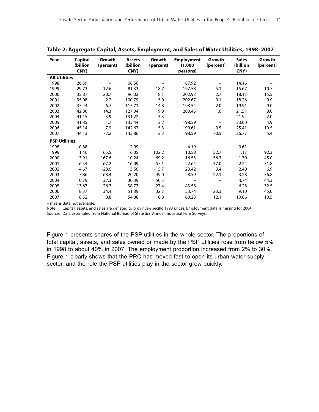| Year                 | Capital<br>(billion<br>CNY) | Growth<br>(percent) | <b>Assets</b><br>(billion<br>CNY) | Growth<br>(percent) | <b>Employment</b><br>(1,000)<br>persons) | Growth<br>(percent)      | <b>Sales</b><br>(billion<br>CNY) | Growth<br>(percent) |
|----------------------|-----------------------------|---------------------|-----------------------------------|---------------------|------------------------------------------|--------------------------|----------------------------------|---------------------|
| <b>All Utilities</b> |                             |                     |                                   |                     |                                          |                          |                                  |                     |
| 1998                 | 26.39                       |                     | 68.50                             |                     | 187.92                                   |                          | 14.16                            |                     |
| 1999                 | 29.73                       | 12.6                | 81.33                             | 18.7                | 197.58                                   | 5.1                      | 15.67                            | 10.7                |
| 2000                 | 35.87                       | 20.7                | 96.02                             | 18.1                | 202.93                                   | 2.7                      | 18.11                            | 15.5                |
| 2001                 | 35.08                       | $-2.2$              | 100.79                            | 5.0                 | 202.67                                   | $-0.1$                   | 18.26                            | 0.9                 |
| 2002                 | 37.44                       | 6.7                 | 115.71                            | 14.8                | 198.54                                   | $-2.0$                   | 19.91                            | 9.0                 |
| 2003                 | 42.80                       | 14.3                | 127.04                            | 9.8                 | 200.45                                   | 1.0                      | 21.51                            | 8.0                 |
| 2004                 | 41.15                       | $-3.9$              | 131.22                            | 3.3                 | $\overline{\phantom{m}}$                 | $\qquad \qquad -$        | 21.94                            | 2.0                 |
| 2005                 | 41.85                       | 1.7                 | 135.44                            | 3.2                 | 198.59                                   |                          | 23.00                            | 4.9                 |
| 2006                 | 45.14                       | 7.9                 | 142.63                            | 5.3                 | 199.61                                   | 0.5                      | 25.41                            | 10.5                |
| 2007                 | 44.13                       | $-2.2$              | 145.86                            | 2.3                 | 198.59                                   | $-0.5$                   | 26.77                            | 5.4                 |
| <b>PSP Utilities</b> |                             |                     |                                   |                     |                                          |                          |                                  |                     |
| 1998                 | 0.88                        |                     | 2.99                              |                     | 4.19                                     |                          | 0.61                             |                     |
| 1999                 | 1.46                        | 65.5                | 6.05                              | 102.2               | 10.58                                    | 152.7                    | 1.17                             | 92.3                |
| 2000                 | 3.91                        | 167.6               | 10.24                             | 69.2                | 16.53                                    | 56.3                     | 1.70                             | 45.0                |
| 2001                 | 6.54                        | 67.2                | 16.09                             | 57.1                | 22.64                                    | 37.0                     | 2.24                             | 31.8                |
| 2002                 | 4.67                        | $-28.6$             | 13.56                             | $-15.7$             | 23.42                                    | 3.4                      | 2.40                             | 6.9                 |
| 2003                 | 7.86                        | 68.4                | 20.20                             | 49.0                | 28.59                                    | 22.1                     | 3.28                             | 36.8                |
| 2004                 | 10.79                       | 37.3                | 30.39                             | 50.5                |                                          | $\overline{\phantom{0}}$ | 4.74                             | 44.3                |
| 2005                 | 13.67                       | 26.7                | 38.73                             | 27.4                | 43.58                                    |                          | 6.28                             | 32.5                |
| 2006                 | 18.37                       | 34.4                | 51.39                             | 32.7                | 53.74                                    | 23.3                     | 9.10                             | 45.0                |
| 2007                 | 18.52                       | 0.8                 | 54.88                             | 6.8                 | 60.23                                    | 12.1                     | 10.06                            | 10.5                |

**Table 2: Aggregate Capital, Assets, Employment, and Sales of Water Utilities, 1998–2007**

– means data not available.

Note: Capital, assets, and sales are deflated to province-specific 1998 prices. Employment data is missing for 2004. Source: Data assembled from National Bureau of Statistics' Annual Industrial Firm Surveys.

Figure 1 presents shares of the PSP utilities in the whole sector. The proportions of total capital, assets, and sales owned or made by the PSP utilities rose from below 5% in 1998 to about 40% in 2007. The employment proportion increased from 2% to 30%. Figure 1 clearly shows that the PRC has moved fast to open its urban water supply sector, and the role the PSP utilities play in the sector grew quickly.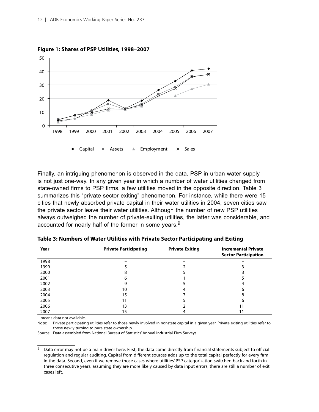

**Figure 1: Shares of PSP Utilities, 1998–2007**

Finally, an intriguing phenomenon is observed in the data. PSP in urban water supply is not just one-way. In any given year in which a number of water utilities changed from state-owned firms to PSP firms, a few utilities moved in the opposite direction. Table 3 summarizes this "private sector exiting" phenomenon. For instance, while there were 15 cities that newly absorbed private capital in their water utilities in 2004, seven cities saw the private sector leave their water utilities. Although the number of new PSP utilities always outweighed the number of private-exiting utilities, the latter was considerable, and accounted for nearly half of the former in some years.<sup>9</sup>

| Year | <b>Private Participating</b> | <b>Private Exiting</b> | <b>Incremental Private</b><br><b>Sector Participation</b> |
|------|------------------------------|------------------------|-----------------------------------------------------------|
| 1998 |                              |                        |                                                           |
| 1999 |                              |                        |                                                           |
| 2000 | 8                            |                        |                                                           |
| 2001 | h                            |                        |                                                           |
| 2002 | g                            |                        |                                                           |
| 2003 | 10                           |                        | h                                                         |
| 2004 | 15                           |                        |                                                           |
| 2005 |                              |                        | 6                                                         |
| 2006 | 13                           |                        |                                                           |
| 2007 | 15                           |                        |                                                           |

**Table 3: Numbers of Water Utilities with Private Sector Participating and Exiting**

– means data not available.

Note: Private participating utilities refer to those newly involved in nonstate capital in a given year. Private exiting utilities refer to those newly turning to pure state ownership.

Source: Data assembled from National Bureau of Statistics' Annual Industrial Firm Surveys.

<sup>&</sup>lt;sup>9</sup> Data error may not be a main driver here. First, the data come directly from financial statements subject to official regulation and regular auditing. Capital from different sources adds up to the total capital perfectly for every firm in the data. Second, even if we remove those cases where utilities' PSP categorization switched back and forth in three consecutive years, assuming they are more likely caused by data input errors, there are still a number of exit cases left.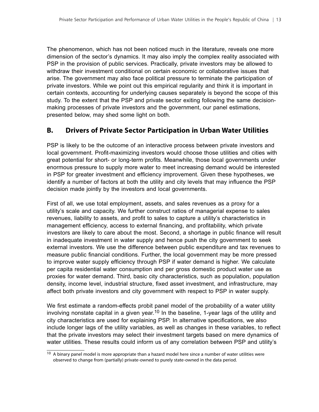<span id="page-20-0"></span>The phenomenon, which has not been noticed much in the literature, reveals one more dimension of the sector's dynamics. It may also imply the complex reality associated with PSP in the provision of public services. Practically, private investors may be allowed to withdraw their investment conditional on certain economic or collaborative issues that arise. The government may also face political pressure to terminate the participation of private investors. While we point out this empirical regularity and think it is important in certain contexts, accounting for underlying causes separately is beyond the scope of this study. To the extent that the PSP and private sector exiting following the same decisionmaking processes of private investors and the government, our panel estimations, presented below, may shed some light on both.

### **B. Drivers of Private Sector Participation in Urban Water Utilities**

PSP is likely to be the outcome of an interactive process between private investors and local government. Profit-maximizing investors would choose those utilities and cities with great potential for short- or long-term profits. Meanwhile, those local governments under enormous pressure to supply more water to meet increasing demand would be interested in PSP for greater investment and efficiency improvement. Given these hypotheses, we identify a number of factors at both the utility and city levels that may influence the PSP decision made jointly by the investors and local governments.

First of all, we use total employment, assets, and sales revenues as a proxy for a utility's scale and capacity. We further construct ratios of managerial expense to sales revenues, liability to assets, and profit to sales to capture a utility's characteristics in management efficiency, access to external financing, and profitability, which private investors are likely to care about the most. Second, a shortage in public finance will result in inadequate investment in water supply and hence push the city government to seek external investors. We use the difference between public expenditure and tax revenues to measure public financial conditions. Further, the local government may be more pressed to improve water supply efficiency through PSP if water demand is higher. We calculate per capita residential water consumption and per gross domestic product water use as proxies for water demand. Third, basic city characteristics, such as population, population density, income level, industrial structure, fixed asset investment, and infrastructure, may affect both private investors and city government with respect to PSP in water supply.

We first estimate a random-effects probit panel model of the probability of a water utility involving nonstate capital in a given year.<sup>10</sup> In the baseline, 1-year lags of the utility and city characteristics are used for explaining PSP. In alternative specifications, we also include longer lags of the utility variables, as well as changes in these variables, to reflect that the private investors may select their investment targets based on mere dynamics of water utilities. These results could inform us of any correlation between PSP and utility's

<sup>&</sup>lt;sup>10</sup> A binary panel model is more appropriate than a hazard model here since a number of water utilities were observed to change from (partially) private-owned to purely state-owned in the data period.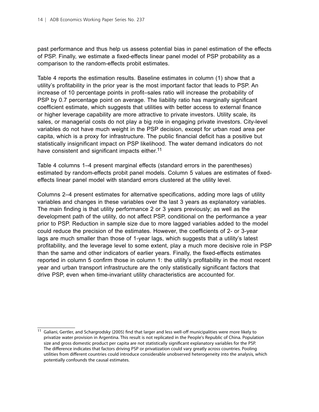past performance and thus help us assess potential bias in panel estimation of the effects of PSP. Finally, we estimate a fixed-effects linear panel model of PSP probability as a comparison to the random-effects probit estimates.

Table 4 reports the estimation results. Baseline estimates in column (1) show that a utility's profitability in the prior year is the most important factor that leads to PSP. An increase of 10 percentage points in profit–sales ratio will increase the probability of PSP by 0.7 percentage point on average. The liability ratio has marginally significant coefficient estimate, which suggests that utilities with better access to external finance or higher leverage capability are more attractive to private investors. Utility scale, its sales, or managerial costs do not play a big role in engaging private investors. City-level variables do not have much weight in the PSP decision, except for urban road area per capita, which is a proxy for infrastructure. The public financial deficit has a positive but statistically insignificant impact on PSP likelihood. The water demand indicators do not have consistent and significant impacts either.<sup>11</sup>

Table 4 columns 1–4 present marginal effects (standard errors in the parentheses) estimated by random-effects probit panel models. Column 5 values are estimates of fixedeffects linear panel model with standard errors clustered at the utility level.

Columns 2–4 present estimates for alternative specifications, adding more lags of utility variables and changes in these variables over the last 3 years as explanatory variables. The main finding is that utility performance 2 or 3 years previously; as well as the development path of the utility, do not affect PSP, conditional on the performance a year prior to PSP. Reduction in sample size due to more lagged variables added to the model could reduce the precision of the estimates. However, the coefficients of 2- or 3-year lags are much smaller than those of 1-year lags, which suggests that a utility's latest profitability, and the leverage level to some extent, play a much more decisive role in PSP than the same and other indicators of earlier years. Finally, the fixed-effects estimates reported in column 5 confirm those in column 1: the utility's profitability in the most recent year and urban transport infrastructure are the only statistically significant factors that drive PSP, even when time-invariant utility characteristics are accounted for.

<sup>11</sup> Galiani, Gertler, and Schargrodsky (2005) find that larger and less well-off municipalities were more likely to privatize water provision in Argentina. This result is not replicated in the People's Republic of China. Population size and gross domestic product per capita are not statistically significant explanatory variables for the PSP. The difference indicates that factors driving PSP or privatization could vary greatly across countries. Pooling utilities from different countries could introduce considerable unobserved heterogeneity into the analysis, which potentially confounds the causal estimates.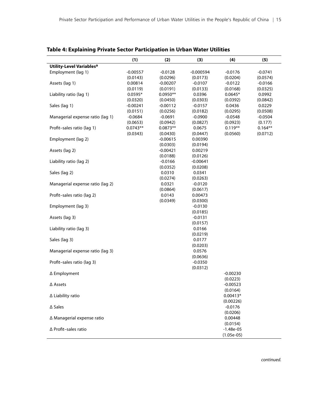|                                      | (1)        | (2)        | (3)         | (4)          | (5)       |
|--------------------------------------|------------|------------|-------------|--------------|-----------|
| Utility-Level Variables <sup>a</sup> |            |            |             |              |           |
| Employment (lag 1)                   | $-0.00557$ | $-0.0128$  | $-0.000594$ | $-0.0176$    | $-0.0741$ |
|                                      | (0.0143)   | (0.0296)   | (0.0173)    | (0.0204)     | (0.0574)  |
| Assets (lag 1)                       | 0.00814    | $-0.00207$ | $-0.0107$   | $-0.0122$    | $-0.0166$ |
|                                      | (0.0119)   | (0.0191)   | (0.0133)    | (0.0168)     | (0.0325)  |
| Liability ratio (lag 1)              | $0.0595*$  | $0.0950**$ | 0.0396      | $0.0645*$    | 0.0992    |
|                                      | (0.0320)   | (0.0450)   | (0.0303)    | (0.0392)     | (0.0842)  |
| Sales (lag 1)                        | $-0.00241$ | $-0.00112$ | $-0.0157$   | 0.0436       | 0.0229    |
|                                      | (0.0151)   | (0.0256)   | (0.0182)    | (0.0295)     | (0.0508)  |
| Managerial expense ratio (lag 1)     | $-0.0684$  | $-0.0691$  | $-0.0900$   | $-0.0548$    | $-0.0504$ |
|                                      | (0.0653)   | (0.0942)   | (0.0827)    | (0.0923)     | (0.177)   |
| Profit-sales ratio (lag 1)           | $0.0743**$ | $0.0873**$ | 0.0675      | $0.119**$    | $0.164**$ |
|                                      | (0.0343)   | (0.0430)   | (0.0447)    | (0.0560)     | (0.0712)  |
| Employment (lag 2)                   |            | $-0.00615$ | 0.00390     |              |           |
|                                      |            | (0.0303)   | (0.0194)    |              |           |
| Assets (lag 2)                       |            | $-0.00421$ | 0.00219     |              |           |
|                                      |            | (0.0188)   | (0.0126)    |              |           |
| Liability ratio (lag 2)              |            | $-0.0166$  | $-0.00641$  |              |           |
|                                      |            |            | (0.0208)    |              |           |
|                                      |            | (0.0352)   | 0.0341      |              |           |
| Sales (lag 2)                        |            | 0.0310     |             |              |           |
|                                      |            | (0.0274)   | (0.0263)    |              |           |
| Managerial expense ratio (lag 2)     |            | 0.0321     | $-0.0120$   |              |           |
|                                      |            | (0.0864)   | (0.0617)    |              |           |
| Profit-sales ratio (lag 2)           |            | 0.0143     | 0.00473     |              |           |
|                                      |            | (0.0349)   | (0.0300)    |              |           |
| Employment (lag 3)                   |            |            | $-0.0130$   |              |           |
|                                      |            |            | (0.0185)    |              |           |
| Assets (lag 3)                       |            |            | $-0.0131$   |              |           |
|                                      |            |            | (0.0157)    |              |           |
| Liability ratio (lag 3)              |            |            | 0.0166      |              |           |
|                                      |            |            | (0.0219)    |              |           |
| Sales (lag 3)                        |            |            | 0.0177      |              |           |
|                                      |            |            | (0.0203)    |              |           |
| Managerial expense ratio (lag 3)     |            |            | 0.0576      |              |           |
|                                      |            |            | (0.0636)    |              |           |
| Profit-sales ratio (lag 3)           |            |            | $-0.0350$   |              |           |
|                                      |            |            | (0.0312)    |              |           |
| ∆ Employment                         |            |            |             | $-0.00230$   |           |
|                                      |            |            |             | (0.0223)     |           |
| ∆ Assets                             |            |            |             | $-0.00523$   |           |
|                                      |            |            |             | (0.0164)     |           |
| ∆ Liability ratio                    |            |            |             | $0.00413*$   |           |
|                                      |            |            |             | (0.00226)    |           |
| $\Delta$ Sales                       |            |            |             | $-0.0176$    |           |
|                                      |            |            |             | (0.0206)     |           |
| ∆ Managerial expense ratio           |            |            |             | 0.00448      |           |
|                                      |            |            |             | (0.0154)     |           |
| ∆ Profit-sales ratio                 |            |            |             | $-1.48e-05$  |           |
|                                      |            |            |             | $(1.05e-05)$ |           |

**Table 4: Explaining Private Sector Participation in Urban Water Utilities**

*continued.*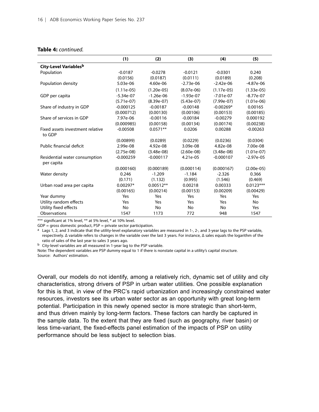#### **Table 4:** *continued.*

|                                             | (1)          | (2)          | (3)          | (4)          | (5)          |
|---------------------------------------------|--------------|--------------|--------------|--------------|--------------|
| City-Level Variablesb                       |              |              |              |              |              |
| Population                                  | $-0.0187$    | $-0.0278$    | $-0.0121$    | $-0.0301$    | 0.240        |
|                                             | (0.0156)     | (0.0187)     | (0.0111)     | (0.0189)     | (0.208)      |
| Population density                          | 5.03e-06     | 4.60e-06     | $-2.73e-06$  | $-2.42e-06$  | $-4.87e-06$  |
|                                             | $(1.11e-05)$ | $(1.20e-05)$ | $(8.07e-06)$ | $(1.17e-05)$ | $(1.33e-05)$ |
| GDP per capita                              | $-5.34e-07$  | $-1.26e-06$  | $-1.93e-07$  | $-7.01e-07$  | $-8.77e-07$  |
|                                             | $(5.71e-07)$ | $(8.39e-07)$ | $(5.43e-07)$ | $(7.99e-07)$ | $(1.01e-06)$ |
| Share of industry in GDP                    | $-0.000125$  | $-0.00187$   | $-0.00148$   | $-0.00269*$  | 0.00165      |
|                                             | (0.000712)   | (0.00130)    | (0.00106)    | (0.00153)    | (0.00185)    |
| Share of services in GDP                    | 7.97e-06     | $-0.00116$   | $-0.00184$   | $-0.00279$   | 0.000192     |
|                                             | (0.000985)   | (0.00158)    | (0.00134)    | (0.00174)    | (0.00238)    |
| Fixed assets investment relative<br>to GDP  | $-0.00508$   | $0.0571**$   | 0.0206       | 0.00288      | $-0.00263$   |
|                                             | (0.00899)    | (0.0289)     | (0.0229)     | (0.0236)     | (0.0304)     |
| Public financial deficit                    | 2.99e-08     | 4.92e-08     | 3.09e-08     | 4.82e-08     | 7.00e-08     |
|                                             | $(2.75e-08)$ | $(3.48e-08)$ | $(2.60e-08)$ | $(3.48e-08)$ | $(1.01e-07)$ |
| Residential water consumption<br>per capita | $-0.000259$  | $-0.000117$  | 4.21e-05     | $-0.000107$  | $-2.97e-05$  |
|                                             | (0.000160)   | (0.000189)   | (0.000114)   | (0.000167)   | $(2.00e-05)$ |
| Water density                               | 0.246        | $-1.209$     | $-1.184$     | $-2.326$     | 0.366        |
|                                             | (0.171)      | (1.132)      | (0.995)      | (1.546)      | (0.469)      |
| Urban road area per capita                  | $0.00297*$   | $0.00512**$  | 0.00218      | 0.00333      | $0.0123***$  |
|                                             | (0.00165)    | (0.00214)    | (0.00153)    | (0.00209)    | (0.00429)    |
| Year dummy                                  | Yes          | Yes          | Yes          | Yes          | Yes          |
| Utility random effects                      | Yes          | Yes          | Yes          | Yes          | No           |
| Utility fixed effects                       | No           | No           | No           | No           | Yes          |
| Observations                                | 1547         | 1173         | 772          | 948          | 1547         |

\*\*\* significant at 1% level, \*\* at 5% level, \* at 10% level.

 $GDP =$  gross domestic product,  $PSP =$  private sector participation.

 $a$  Lags 1, 2, and 3 indicate that the utility-level explanatory variables are measured in 1-, 2-, and 3-year lags to the PSP variable, respectively. Δ variable refers to changes in the variable over the last 3 years. For instance, Δ sales equals the logarithm of the ratio of sales of the last year to sales 3 years ago.

b City-level variables are all measured in 1-year lag to the PSP variable.

Note: The dependent variables are PSP dummy equal to 1 if there is nonstate capital in a utility's capital structure. Source: Authors' estimation.

Overall, our models do not identify, among a relatively rich, dynamic set of utility and city characteristics, strong drivers of PSP in urban water utilities. One possible explanation for this is that, in view of the PRC's rapid urbanization and increasingly constrained water resources, investors see its urban water sector as an opportunity with great long-term potential. Participation in this newly opened sector is more strategic than short-term, and thus driven mainly by long-term factors. These factors can hardly be captured in the sample data. To the extent that they are fixed (such as geography, river basin) or less time-variant, the fixed-effects panel estimation of the impacts of PSP on utility performance should be less subject to selection bias.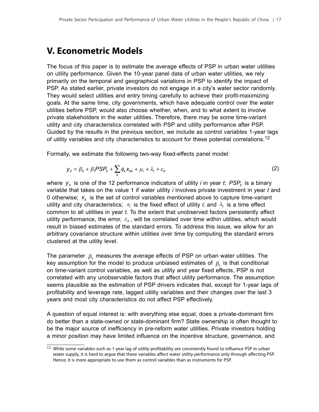### <span id="page-24-0"></span>**V. Econometric Models**

The focus of this paper is to estimate the average effects of PSP in urban water utilities on utility performance. Given the 10-year panel data of urban water utilities, we rely primarily on the temporal and geographical variations in PSP to identify the impact of PSP. As stated earlier, private investors do not engage in a city's water sector randomly. They would select utilities and entry timing carefully to achieve their profit-maximizing goals. At the same time, city governments, which have adequate control over the water utilities before PSP, would also choose whether, when, and to what extent to involve private stakeholders in the water utilities. Therefore, there may be some time-variant utility and city characteristics correlated with PSP and utility performance after PSP. Guided by the results in the previous section, we include as control variables 1-year lags of utility variables and city characteristics to account for these potential correlations.<sup>12</sup>

Formally, we estimate the following two-way fixed-effects panel model:

$$
\mathbf{y}_{it} = \beta_0 + \beta_1 P \mathsf{S} P_{it} + \sum_k \phi_k \mathbf{x}_{itk} + \mu_i + \lambda_t + \varepsilon_{it} \tag{2}
$$

where  $y_{i}$  is one of the 12 performance indicators of utility *i* in year *t*;  $PSP_{i}$  is a binary variable that takes on the value 1 if water utility *i* involves private investment in year *t* and 0 otherwise;  $x_{it}$  is the set of control variables mentioned above to capture time-variant utility and city characteristics;  $\alpha$  is the fixed effect of utility *i*; and  $\lambda$ <sub>t</sub> is a time effect common to all utilities in year *t*. To the extent that unobserved factors persistently affect utility performance, the error,  $\varepsilon_{it}$ , will be correlated over time within utilities, which would result in biased estimates of the standard errors. To address this issue, we allow for an arbitrary covariance structure within utilities over time by computing the standard errors clustered at the utility level.

The parameter  $\beta$ , measures the average effects of PSP on urban water utilities. The key assumption for the model to produce unbiased estimates of  $\beta_1$  is that conditional on time-variant control variables, as well as utility and year fixed effects, PSP is not correlated with any unobservable factors that affect utility performance. The assumption seems plausible as the estimation of PSP drivers indicates that, except for 1-year lags of profitability and leverage rate, lagged utility variables and their changes over the last 3 years and most city characteristics do not affect PSP effectively.

A question of equal interest is: with everything else equal, does a private-dominant firm do better than a state-owned or state-dominant firm? State ownership is often thought to be the major source of inefficiency in pre-reform water utilities. Private investors holding a minor position may have limited influence on the incentive structure, governance, and

<sup>&</sup>lt;sup>12</sup> While some variables such as 1-year lag of utility profitability are consistently found to influence PSP in urban water supply, it is hard to argue that these variables affect water utility performance only through affecting PSP. Hence, it is more appropriate to use them as control variables than as instruments for PSP.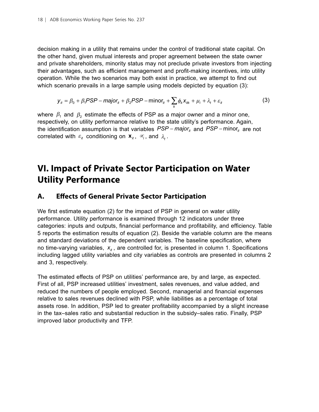<span id="page-25-0"></span>decision making in a utility that remains under the control of traditional state capital. On the other hand, given mutual interests and proper agreement between the state owner and private shareholders, minority status may not preclude private investors from injecting their advantages, such as efficient management and profit-making incentives, into utility operation. While the two scenarios may both exist in practice, we attempt to find out which scenario prevails in a large sample using models depicted by equation (3):

$$
y_{it} = \beta_0 + \beta_1 \text{PSP} - \text{major}_{it} + \beta_2 \text{PSP} - \text{minor}_{it} + \sum_k \phi_k x_{itk} + \mu_i + \lambda_t + \varepsilon_{it}
$$
(3)

where  $\beta_1$  and  $\beta_2$  estimate the effects of PSP as a major owner and a minor one, respectively, on utility performance relative to the state utility's performance. Again, the identification assumption is that variables *PSP* − major<sub>it</sub> and *PSP* − minor<sub>it</sub> are not correlated with  $\varepsilon_{it}$  conditioning on  $\mathbf{x}_{it}$ ,  $\propto_i$ , and  $\lambda_t$ .

## **VI. Impact of Private Sector Participation on Water Utility Performance**

### **A. Effects of General Private Sector Participation**

We first estimate equation (2) for the impact of PSP in general on water utility performance. Utility performance is examined through 12 indicators under three categories: inputs and outputs, financial performance and profitability, and efficiency. Table 5 reports the estimation results of equation (2). Beside the variable column are the means and standard deviations of the dependent variables. The baseline specification, where no time-varying variables,  $x_{it}$ , are controlled for, is presented in column 1. Specifications including lagged utility variables and city variables as controls are presented in columns 2 and 3, respectively.

The estimated effects of PSP on utilities' performance are, by and large, as expected. First of all, PSP increased utilities' investment, sales revenues, and value added, and reduced the numbers of people employed. Second, managerial and financial expenses relative to sales revenues declined with PSP, while liabilities as a percentage of total assets rose. In addition, PSP led to greater profitability accompanied by a slight increase in the tax–sales ratio and substantial reduction in the subsidy–sales ratio. Finally, PSP improved labor productivity and TFP.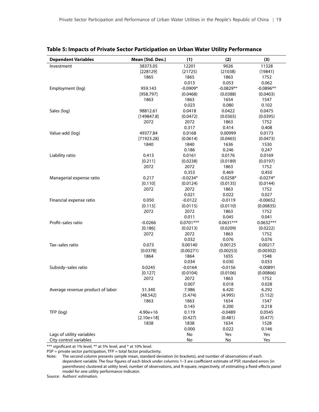| <b>Dependent Variables</b>                          | Mean [Std. Dev.] | (1)         | (2)         | (3)         |
|-----------------------------------------------------|------------------|-------------|-------------|-------------|
| Investment                                          | 38373.05         | 12201       | 9026        | 11328       |
|                                                     | [228129]         | (21725)     | (21038)     | (19841)     |
|                                                     | 1865             | 1865        | 1863        | 1752        |
|                                                     |                  | 0.013       | 0.053       | 0.062       |
| Employment (log)                                    | 959.143          | $-0.0909*$  | $-0.0829**$ | $-0.0896**$ |
|                                                     | [958.797]        | (0.0468)    | (0.0388)    | (0.0403)    |
|                                                     | 1863             | 1863        | 1654        | 1547        |
|                                                     |                  | 0.023       | 0.080       | 0.102       |
| Sales (log)                                         | 98812.61         | 0.0418      | 0.0422      | 0.0475      |
|                                                     | [149847.8]       | (0.0472)    | (0.0365)    | (0.0395)    |
|                                                     | 2072             | 2072        | 1863        | 1752        |
|                                                     |                  | 0.317       | 0.414       | 0.408       |
| Value-add (log)                                     | 49377.84         | 0.0168      | 0.00999     | 0.0173      |
|                                                     | [71923.28]       | (0.0614)    | (0.0465)    | (0.0473)    |
|                                                     | 1840             | 1840        | 1636        | 1530        |
|                                                     |                  | 0.186       | 0.246       | 0.247       |
| Liability ratio                                     | 0.413            | 0.0161      | 0.0176      | 0.0169      |
|                                                     | [0.211]          | (0.0238)    | (0.0189)    | (0.0197)    |
|                                                     | 2072             | 2072        | 1863        | 1752        |
|                                                     |                  | 0.353       | 0.469       | 0.450       |
| Managerial expense ratio                            | 0.217            | $-0.0234*$  | $-0.0258*$  | $-0.0274*$  |
|                                                     | [0.110]          | (0.0124)    | (0.0135)    | (0.0144)    |
|                                                     | 2072             | 2072        | 1863        | 1752        |
|                                                     |                  | 0.021       | 0.022       | 0.027       |
| Financial expense ratio                             | 0.050            | $-0.0122$   | $-0.0119$   | $-0.00652$  |
|                                                     | [0.113]          | (0.0115)    | (0.0110)    | (0.00835)   |
|                                                     | 2072             | 2072        | 1863        | 1752        |
|                                                     |                  | 0.011       | 0.045       | 0.041       |
| Profit-sales ratio                                  | $-0.0266$        | $0.0701***$ | $0.0631***$ | $0.0632***$ |
|                                                     | [0.186]          | (0.0213)    | (0.0209)    | (0.0222)    |
|                                                     | 2072             | 2072        | 1863        | 1752        |
|                                                     |                  | 0.032       | 0.076       | 0.076       |
| Tax-sales ratio                                     | 0.073            | 0.00140     | 0.00125     | 0.00217     |
|                                                     | [0.0378]         | (0.00271)   | (0.00253)   | (0.00302)   |
|                                                     | 1864             | 1864        | 1655        | 1548        |
|                                                     |                  | 0.034       | 0.030       | 0.033       |
| Subsidy-sales ratio                                 | 0.0245           | $-0.0164$   | $-0.0156$   | $-0.00891$  |
|                                                     | [0.127]          | (0.0104)    | (0.0106)    | (0.00866)   |
|                                                     | 2072             | 2072        | 1863        | 1752        |
|                                                     |                  | 0.007       | 0.018       | 0.028       |
| Average revenue product of labor                    | 51.340           | 7.986       | 6.420       | 6.292       |
|                                                     | [48.542]         | (5.474)     | (4.995)     | (5.152)     |
|                                                     | 1863             | 1863        | 1654        | 1547        |
|                                                     |                  | 0.145       | 0.200       | 0.218       |
| TFP (log)                                           | $4.90e + 16$     | 0.119       | $-0.0489$   | 0.0545      |
|                                                     | $[2.10e+18]$     | (0.427)     | (0.481)     | (0.477)     |
|                                                     | 1838             | 1838        | 1634        | 1528        |
|                                                     |                  | 0.000       | 0.022       | 0.146       |
| Lags of utility variables<br>City control variables |                  | No<br>No    | Yes<br>No   | Yes<br>Yes  |

#### **Table 5: Impacts of Private Sector Participation on Urban Water Utility Performance**

\*\*\* significant at 1% level, \*\* at 5% level, and \* at 10% level.

 $PSP =$  private sector participation,  $TP =$  total factor productivity.

Note: The second column presents sample mean, standard deviation (in brackets), and number of observations of each dependent variable. The four figures of each block under columns 1–3 are coefficient estimate of PSP, standard errors (in parentheses) clustered at utility level, number of observations, and R-square, respectively, of estimating a fixed-effects panel model for one utility performance indicator.

Source: Authors' estimation.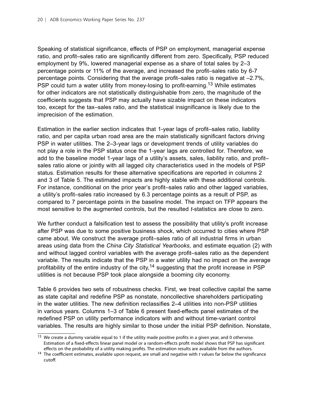Speaking of statistical significance, effects of PSP on employment, managerial expense ratio, and profit–sales ratio are significantly different from zero. Specifically, PSP reduced employment by 9%, lowered managerial expense as a share of total sales by 2–3 percentage points or 11% of the average, and increased the profit–sales ratio by 6-7 percentage points. Considering that the average profit–sales ratio is negative at –2.7%, PSP could turn a water utility from money-losing to profit-earning.<sup>13</sup> While estimates for other indicators are not statistically distinguishable from zero, the magnitude of the coefficients suggests that PSP may actually have sizable impact on these indicators too, except for the tax–sales ratio, and the statistical insignificance is likely due to the imprecision of the estimation.

Estimation in the earlier section indicates that 1-year lags of profit–sales ratio, liability ratio, and per capita urban road area are the main statistically significant factors driving PSP in water utilities. The 2–3-year lags or development trends of utility variables do not play a role in the PSP status once the 1-year lags are controlled for. Therefore, we add to the baseline model 1-year lags of a utility's assets, sales, liability ratio, and profit– sales ratio alone or jointly with all lagged city characteristics used in the models of PSP status. Estimation results for these alternative specifications are reported in columns 2 and 3 of Table 5. The estimated impacts are highly stable with these additional controls. For instance, conditional on the prior year's profit–sales ratio and other lagged variables, a utility's profit–sales ratio increased by 6.3 percentage points as a result of PSP, as compared to 7 percentage points in the baseline model. The impact on TFP appears the most sensitive to the augmented controls, but the resulted *t*-statistics are close to zero.

We further conduct a falsification test to assess the possibility that utility's profit increase after PSP was due to some positive business shock, which occurred to cities where PSP came about. We construct the average profit–sales ratio of all industrial firms in urban areas using data from the *China City Statistical Yearbooks*, and estimate equation (2) with and without lagged control variables with the average profit–sales ratio as the dependent variable. The results indicate that the PSP in a water utility had no impact on the average profitability of the entire industry of the city,<sup>14</sup> suggesting that the profit increase in PSP utilities is not because PSP took place alongside a booming city economy.

Table 6 provides two sets of robustness checks. First, we treat collective capital the same as state capital and redefine PSP as nonstate, noncollective shareholders participating in the water utilities. The new definition reclassifies 2–4 utilities into non-PSP utilities in various years. Columns 1–3 of Table 6 present fixed-effects panel estimates of the redefined PSP on utility performance indicators with and without time-variant control variables. The results are highly similar to those under the initial PSP definition. Nonstate,

<sup>&</sup>lt;sup>13</sup> We create a dummy variable equal to 1 if the utility made positive profits in a given year, and 0 otherwise. Estimation of a fixed-effects linear panel model or a random-effects profit model shows that PSP has significant effects on the probability of a utility making profits. The estimation results are available from the authors.

<sup>14</sup> The coefficient estimates, available upon request, are small and negative with *t* values far below the significance cutoff.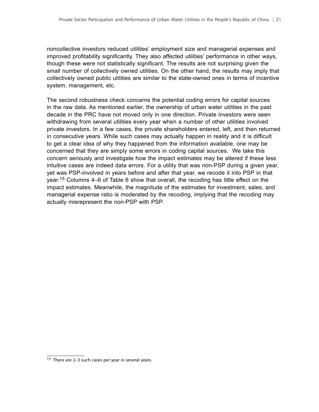noncollective investors reduced utilities' employment size and managerial expenses and improved profitability significantly. They also affected utilities' performance in other ways, though these were not statistically significant. The results are not surprising given the small number of collectively owned utilities. On the other hand, the results may imply that collectively owned public utilities are similar to the state-owned ones in terms of incentive system, management, etc.

The second robustness check concerns the potential coding errors for capital sources in the raw data. As mentioned earlier, the ownership of urban water utilities in the past decade in the PRC have not moved only in one direction. Private investors were seen withdrawing from several utilities every year when a number of other utilities involved private investors. In a few cases, the private shareholders entered, left, and then returned in consecutive years. While such cases may actually happen in reality and it is difficult to get a clear idea of why they happened from the information available, one may be concerned that they are simply some errors in coding capital sources. We take this concern seriously and investigate how the impact estimates may be altered if these less intuitive cases are indeed data errors. For a utility that was non-PSP during a given year, yet was PSP-involved in years before and after that year, we recode it into PSP in that year.15 Columns 4–6 of Table 6 show that overall, the recoding has little effect on the impact estimates. Meanwhile, the magnitude of the estimates for investment, sales, and managerial expense ratio is moderated by the recoding, implying that the recoding may actually misrepresent the non-PSP with PSP.

<sup>15</sup> There are 2–3 such cases per year in several years.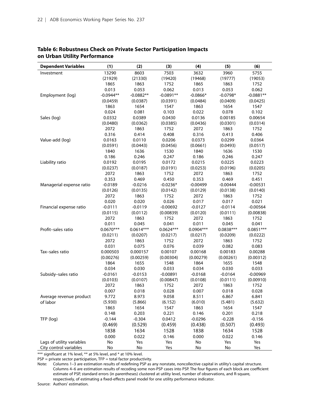| 13290<br>8603<br>7503<br>3632<br>3960<br>Investment                                          |             |
|----------------------------------------------------------------------------------------------|-------------|
|                                                                                              | 5755        |
| (21330)<br>(19420)<br>(19777)<br>(21929)<br>(19468)                                          | (19053)     |
| 1863<br>1865<br>1752<br>1865<br>1863                                                         | 1752        |
| 0.053<br>0.062<br>0.013<br>0.013<br>0.053                                                    | 0.062       |
| $-0.0944**$<br>$-0.0882**$<br>$-0.0891**$<br>$-0.0798*$<br>Employment (log)<br>$-0.0866*$    | $-0.0881**$ |
| (0.0387)<br>(0.0459)<br>(0.0391)<br>(0.0484)<br>(0.0409)                                     | (0.0425)    |
| 1654<br>1863<br>1547<br>1863<br>1654                                                         | 1547        |
| 0.024<br>0.081<br>0.103<br>0.022<br>0.078                                                    | 0.102       |
| Sales (log)<br>0.0332<br>0.0389<br>0.0430<br>0.0136<br>0.00185                               | 0.00654     |
| (0.0301)<br>(0.0480)<br>(0.0362)<br>(0.0385)<br>(0.0436)                                     | (0.0314)    |
| 2072<br>1863<br>1752<br>2072<br>1863                                                         | 1752        |
| 0.408<br>0.316<br>0.414<br>0.316<br>0.413                                                    | 0.406       |
| Value-add (log)<br>0.0163<br>0.0110<br>0.0206<br>0.0373<br>0.0299                            | 0.0364      |
| (0.0661)<br>(0.0591)<br>(0.0443)<br>(0.0456)<br>(0.0493)                                     | (0.0517)    |
| 1840<br>1636<br>1840<br>1636<br>1530                                                         | 1530        |
| 0.186<br>0.246<br>0.247<br>0.186<br>0.246                                                    | 0.247       |
| Liability ratio<br>0.0192<br>0.0195<br>0.0172<br>0.0215<br>0.0225                            | 0.0223      |
| (0.0237)<br>(0.0187)<br>(0.0191)<br>(0.0253)<br>(0.0196)                                     | (0.0205)    |
| 2072<br>1863<br>1752<br>2072<br>1863                                                         | 1752        |
| 0.469<br>0.450<br>0.353<br>0.353<br>0.469                                                    | 0.451       |
| Managerial expense ratio<br>$-0.0216$<br>$-0.0236*$<br>$-0.0189$<br>$-0.00499$<br>$-0.00444$ | $-0.00531$  |
| (0.0126)<br>(0.0138)<br>(0.0135)<br>(0.0142)<br>(0.0129)                                     | (0.0140)    |
| 2072<br>1863<br>1752<br>2072<br>1863                                                         | 1752        |
| 0.020<br>0.026<br>0.020<br>0.017<br>0.017                                                    | 0.021       |
| Financial expense ratio<br>$-0.0111$<br>$-0.0119$<br>$-0.00692$<br>$-0.0127$<br>$-0.0114$    | $-0.00564$  |
| (0.0112)<br>(0.0115)<br>(0.00839)<br>(0.0120)<br>(0.0111)                                    | (0.00838)   |
| 2072<br>1863<br>1752<br>2072<br>1863                                                         | 1752        |
| 0.011<br>0.045<br>0.041<br>0.011<br>0.045                                                    | 0.041       |
| Profit-sales ratio<br>$0.0670***$<br>$0.0614***$<br>$0.0624***$<br>$0.0904***$<br>0.0838***  | $0.0851***$ |
| (0.0207)<br>(0.0211)<br>(0.0217)<br>(0.0217)<br>(0.0209)                                     | (0.0222)    |
| 2072<br>1863<br>1752<br>2072<br>1863                                                         | 1752        |
| 0.076<br>0.031<br>0.075<br>0.039<br>0.082                                                    | 0.083       |
| Tax-sales ratio<br>0.000503<br>0.000157<br>0.00107<br>0.00183<br>0.00168                     | 0.00288     |
| (0.00276)<br>(0.00259)<br>(0.00304)<br>(0.00279)<br>(0.00261)                                | (0.00312)   |
| 1864<br>1655<br>1548<br>1864<br>1655                                                         | 1548        |
| 0.030<br>0.033<br>0.030<br>0.034<br>0.034                                                    | 0.033       |
| Subsidy-sales ratio<br>$-0.0161$<br>$-0.0153$<br>$-0.00891$<br>$-0.0164$<br>$-0.0168$        | $-0.00969$  |
| (0.0103)<br>(0.0107)<br>(0.00847)<br>(0.0108)<br>(0.0111)                                    | (0.00910)   |
| 2072<br>1863<br>2072<br>1752<br>1863                                                         | 1752        |
| 0.007<br>0.018<br>0.028<br>0.007<br>0.018                                                    | 0.028       |
| Average revenue product<br>9.772<br>8.973<br>9.058<br>8.511<br>6.867                         | 6.841       |
| of labor<br>(5.930)<br>(5.866)<br>(6.152)<br>(6.010)<br>(5.481)                              | (5.632)     |
| 1654<br>1863<br>1547<br>1863<br>1654                                                         | 1547        |
| 0.148<br>0.203<br>0.221<br>0.146<br>0.201                                                    | 0.218       |
| TFP (log)<br>$-0.144$<br>$-0.304$<br>0.0412<br>$-0.0296$<br>$-0.228$                         | $-0.156$    |
| (0.469)<br>(0.529)<br>(0.459)<br>(0.507)<br>(0.438)                                          | (0.493)     |
| 1838<br>1634<br>1528<br>1838<br>1634                                                         | 1528        |
| 0.000<br>0.022<br>0.000<br>0.146<br>0.022                                                    | 0.146       |
| Lags of utility variables<br>No<br>No<br>Yes<br>Yes<br>Yes                                   | Yes         |
| City control variables<br>No<br>No<br>Yes<br>No<br>No                                        | Yes         |

#### **Table 6: Robustness Check on Private Sector Participation Impacts on Urban Utility Performance**

\*\*\* significant at 1% level, \*\* at 5% level, and \* at 10% level.

 $PSP = private sector participation, TFP = total factor productivity.$ 

Note: Columns 1–3 are estimation results of redefining PSP as any nonstate, noncollective capital in utility's capital structure. Columns 4–6 are estimation results of recoding some non-PSP cases into PSP. The four figures of each block are coefficient estimate of PSP, standard errors (in parentheses) clustered at utility level, number of observations, and R-square, respectively, of estimating a fixed-effects panel model for one utility performance indicator.

Source: Authors' estimation.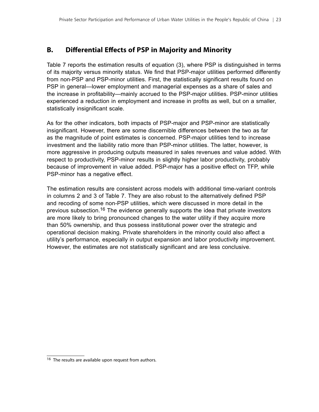### <span id="page-30-0"></span>**B. Differential Effects of PSP in Majority and Minority**

Table 7 reports the estimation results of equation (3), where PSP is distinguished in terms of its majority versus minority status. We find that PSP-major utilities performed differently from non-PSP and PSP-minor utilities. First, the statistically significant results found on PSP in general—lower employment and managerial expenses as a share of sales and the increase in profitability—mainly accrued to the PSP-major utilities. PSP-minor utilities experienced a reduction in employment and increase in profits as well, but on a smaller, statistically insignificant scale.

As for the other indicators, both impacts of PSP-major and PSP-minor are statistically insignificant. However, there are some discernible differences between the two as far as the magnitude of point estimates is concerned. PSP-major utilities tend to increase investment and the liability ratio more than PSP-minor utilities. The latter, however, is more aggressive in producing outputs measured in sales revenues and value added. With respect to productivity, PSP-minor results in slightly higher labor productivity, probably because of improvement in value added. PSP-major has a positive effect on TFP, while PSP-minor has a negative effect.

The estimation results are consistent across models with additional time-variant controls in columns 2 and 3 of Table 7. They are also robust to the alternatively defined PSP and recoding of some non-PSP utilities, which were discussed in more detail in the previous subsection.<sup>16</sup> The evidence generally supports the idea that private investors are more likely to bring pronounced changes to the water utility if they acquire more than 50% ownership, and thus possess institutional power over the strategic and operational decision making. Private shareholders in the minority could also affect a utility's performance, especially in output expansion and labor productivity improvement. However, the estimates are not statistically significant and are less conclusive.

<sup>&</sup>lt;sup>16</sup> The results are available upon request from authors.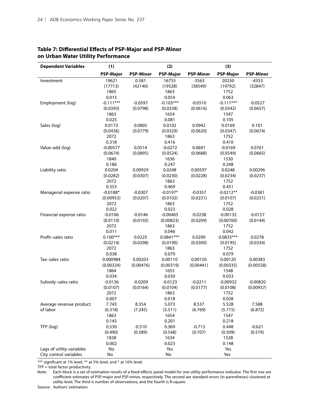| <b>Dependent Variables</b> | (1)              |                  | (2)              |                  | (3)              |                  |
|----------------------------|------------------|------------------|------------------|------------------|------------------|------------------|
|                            | <b>PSP-Major</b> | <b>PSP-Minor</b> | <b>PSP-Major</b> | <b>PSP-Minor</b> | <b>PSP-Major</b> | <b>PSP-Minor</b> |
| Investment                 | 19621            | 0.581            | 16755            | $-3563$          | 20230            | $-4353$          |
|                            | (17713)          | (42140)          | (19528)          | (38549)          | (19792)          | (32847)          |
|                            | 1865             |                  | 1863             |                  | 1752             |                  |
|                            | 0.013            |                  | 0.054            |                  | 0.063            |                  |
| Employment (log)           | $-0.111***$      | $-0.0597$        | $-0.103***$      | $-0.0510$        | $-0.111***$      | $-0.0527$        |
|                            | (0.0393)         | (0.0798)         | (0.0338)         | (0.0616)         | (0.0342)         | (0.0657)         |
|                            | 1863             |                  | 1654             |                  | 1547             |                  |
|                            | 0.025            |                  | 0.081            |                  | 0.105            |                  |
| Sales (log)                | 0.0173           | 0.0805           | 0.0102           | 0.0942           | 0.0169           | 0.101            |
|                            | (0.0436)         | (0.0779)         | (0.0329)         | (0.0620)         | (0.0347)         | (0.0674)         |
|                            | 2072             |                  | 1863             |                  | 1752             |                  |
|                            | 0.318            |                  | 0.416            |                  | 0.410            |                  |
| Value-add (log)            | $-0.00577$       | 0.0514           | $-0.0272$        | 0.0691           | $-0.0169$        | 0.0761           |
|                            | (0.0674)         | (0.0895)         | (0.0524)         | (0.0688)         | (0.0549)         | (0.0665)         |
|                            | 1840             |                  | 1636             |                  | 1530             |                  |
|                            | 0.186            |                  | 0.247            |                  | 0.248            |                  |
| Liability ratio            | 0.0204           | 0.00929          | 0.0248           | 0.00597          | 0.0248           | 0.00296          |
|                            | (0.0282)         | (0.0307)         | (0.0230)         | (0.0228)         | (0.0234)         | (0.0237)         |
|                            | 2072             |                  | 1863             |                  | 1752             |                  |
|                            | 0.353            |                  | 0.469            |                  | 0.451            |                  |
| Managerial expense ratio   | $-0.0188*$       | $-0.0307$        | $-0.0197*$       | $-0.0357$        | $-0.0212**$      | $-0.0381$        |
|                            | (0.00953)        | (0.0207)         | (0.0102)         | (0.0231)         | (0.0107)         | (0.0251)         |
|                            | 2072             |                  | 1863             |                  | 1752             |                  |
|                            | 0.022            |                  | 0.023            |                  | 0.028            |                  |
| Financial expense ratio    | $-0.0106$        | $-0.0146$        | $-0.00465$       | $-0.0238$        | $-0.00132$       | $-0.0157$        |
|                            | (0.0110)         | (0.0192)         | (0.00823)        | (0.0209)         | (0.00760)        | (0.0144)         |
|                            | 2072             |                  | 1863             |                  | 1752             |                  |
|                            | 0.011            |                  | 0.046            |                  | 0.042            |                  |
| Profit-sales ratio         | $0.100***$       | 0.0225           | $0.0841***$      | 0.0290           | $0.0833***$      | 0.0278           |
|                            | (0.0214)         | (0.0298)         | (0.0190)         | (0.0300)         | (0.0195)         | (0.0334)         |
|                            | 2072             |                  | 1863             |                  | 1752             |                  |
|                            | 0.038            |                  | 0.079            |                  | 0.079            |                  |
| Tax-sales ratio            | 0.000984         | 0.00203          | 0.00110          | 0.00150          | 0.00120          | 0.00383          |
|                            | (0.00324)        | (0.00476)        | (0.00319)        | (0.00441)        | (0.00335)        | (0.00558)        |
|                            | 1864             |                  | 1655             |                  | 1548             |                  |
|                            | 0.034            |                  | 0.030            |                  | 0.033            |                  |
| Subsidy-sales ratio        | $-0.0136$        | $-0.0209$        | $-0.0123$        | $-0.0211$        | $-0.00932$       | $-0.00820$       |
|                            | (0.0107)         | (0.0164)         | (0.0104)         | (0.0177)         | (0.0108)         | (0.00937)        |
|                            | 2072             |                  | 1863             |                  | 1752             |                  |
|                            | 0.007            |                  | 0.018            |                  | 0.028            |                  |
| Average revenue product    | 7.743            | 8.354            | 5.073            | 8.537            | 5.528            | 7.588            |
| of labor                   | (6.318)          | (7.245)          | (5.511)          | (6.769)          | (5.715)          | (6.872)          |
|                            | 1863             |                  | 1654             |                  | 1547             |                  |
|                            | 0.145            |                  | 0.201            |                  | 0.218            |                  |
| TFP (log)                  | 0.530            | $-0.510$         | 0.369            | $-0.713$         | 0.448            | $-0.621$         |
|                            | (0.490)          | (0.589)          | (0.548)          | (0.707)          | (0.509)          | (0.579)          |
|                            | 1838             |                  | 1634             |                  | 1528             |                  |
|                            | 0.002            |                  | 0.023            |                  | 0.148            |                  |
| Lags of utility variables  | No               |                  | Yes              |                  | Yes              |                  |
| City control variables     | No               |                  | No               |                  | Yes              |                  |

#### **Table 7: Differential Effects of PSP-Major and PSP-Minor on Urban Water Utility Performance**

\*\*\* significant at 1% level, \*\* at 5% level, and \* at 10% level.

 $TFP = total factor productivity.$ 

Note: Each block is a set of estimation results of a fixed-effects panel model for one utility performance indicator. The first row are coefficient estimates of PSP-major and PSP-minor, respectively. The second are standard errors (in parentheses) clustered at utility level. The third is number of observations, and the fourth is R-square.

Source: Authors' estimation.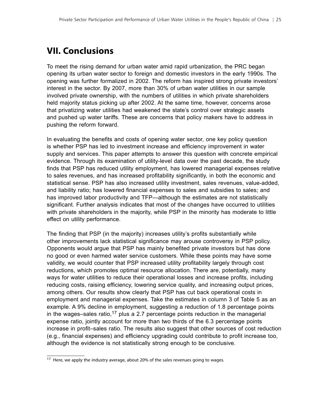# <span id="page-32-0"></span>**VII. Conclusions**

To meet the rising demand for urban water amid rapid urbanization, the PRC began opening its urban water sector to foreign and domestic investors in the early 1990s. The opening was further formalized in 2002. The reform has inspired strong private investors' interest in the sector. By 2007, more than 30% of urban water utilities in our sample involved private ownership, with the numbers of utilities in which private shareholders held majority status picking up after 2002. At the same time, however, concerns arose that privatizing water utilities had weakened the state's control over strategic assets and pushed up water tariffs. These are concerns that policy makers have to address in pushing the reform forward.

In evaluating the benefits and costs of opening water sector, one key policy question is whether PSP has led to investment increase and efficiency improvement in water supply and services. This paper attempts to answer this question with concrete empirical evidence. Through its examination of utility-level data over the past decade, the study finds that PSP has reduced utility employment, has lowered managerial expenses relative to sales revenues, and has increased profitability significantly, in both the economic and statistical sense. PSP has also increased utility investment, sales revenues, value-added, and liability ratio; has lowered financial expenses to sales and subsidies to sales; and has improved labor productivity and TFP—although the estimates are not statistically significant. Further analysis indicates that most of the changes have occurred to utilities with private shareholders in the majority, while PSP in the minority has moderate to little effect on utility performance.

The finding that PSP (in the majority) increases utility's profits substantially while other improvements lack statistical significance may arouse controversy in PSP policy. Opponents would argue that PSP has mainly benefited private investors but has done no good or even harmed water service customers. While these points may have some validity, we would counter that PSP increased utility profitability largely through cost reductions, which promotes optimal resource allocation. There are, potentially, many ways for water utilities to reduce their operational losses and increase profits, including reducing costs, raising efficiency, lowering service quality, and increasing output prices, among others. Our results show clearly that PSP has cut back operational costs in employment and managerial expenses. Take the estimates in column 3 of Table 5 as an example. A 9% decline in employment, suggesting a reduction of 1.8 percentage points in the wages–sales ratio,<sup>17</sup> plus a 2.7 percentage points reduction in the managerial expense ratio, jointly account for more than two thirds of the 6.3 percentage points increase in profit–sales ratio. The results also suggest that other sources of cost reduction (e.g., financial expenses) and efficiency upgrading could contribute to profit increase too, although the evidence is not statistically strong enough to be conclusive.

<sup>&</sup>lt;sup>17</sup> Here, we apply the industry average, about 20% of the sales revenues going to wages.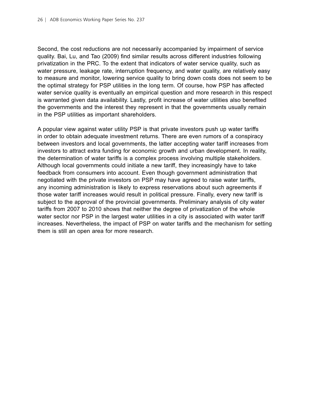Second, the cost reductions are not necessarily accompanied by impairment of service quality. Bai, Lu, and Tao (2009) find similar results across different industries following privatization in the PRC. To the extent that indicators of water service quality, such as water pressure, leakage rate, interruption frequency, and water quality, are relatively easy to measure and monitor, lowering service quality to bring down costs does not seem to be the optimal strategy for PSP utilities in the long term. Of course, how PSP has affected water service quality is eventually an empirical question and more research in this respect is warranted given data availability. Lastly, profit increase of water utilities also benefited the governments and the interest they represent in that the governments usually remain in the PSP utilities as important shareholders.

A popular view against water utility PSP is that private investors push up water tariffs in order to obtain adequate investment returns. There are even rumors of a conspiracy between investors and local governments, the latter accepting water tariff increases from investors to attract extra funding for economic growth and urban development. In reality, the determination of water tariffs is a complex process involving multiple stakeholders. Although local governments could initiate a new tariff, they increasingly have to take feedback from consumers into account. Even though government administration that negotiated with the private investors on PSP may have agreed to raise water tariffs, any incoming administration is likely to express reservations about such agreements if those water tariff increases would result in political pressure. Finally, every new tariff is subject to the approval of the provincial governments. Preliminary analysis of city water tariffs from 2007 to 2010 shows that neither the degree of privatization of the whole water sector nor PSP in the largest water utilities in a city is associated with water tariff increases. Nevertheless, the impact of PSP on water tariffs and the mechanism for setting them is still an open area for more research.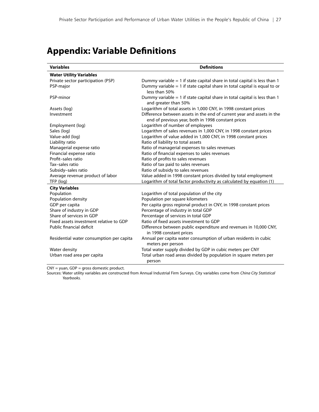# <span id="page-34-0"></span>**Appendix: Variable Definitions**

| <b>Variables</b>                         | <b>Definitions</b>                                                                                                           |
|------------------------------------------|------------------------------------------------------------------------------------------------------------------------------|
| <b>Water Utility Variables</b>           |                                                                                                                              |
| Private sector participation (PSP)       | Dummy variable = 1 if state capital share in total capital is less than 1                                                    |
| PSP-major                                | Dummy variable $= 1$ if state capital share in total capital is equal to or<br>less than 50%                                 |
| PSP-minor                                | Dummy variable $= 1$ if state capital share in total capital is less than 1<br>and greater than 50%                          |
| Assets (log)                             | Logarithm of total assets in 1,000 CNY, in 1998 constant prices                                                              |
| Investment                               | Difference between assets in the end of current year and assets in the<br>end of previous year, both in 1998 constant prices |
| Employment (log)                         | Logarithm of number of employees                                                                                             |
| Sales (log)                              | Logarithm of sales revenues in 1,000 CNY, in 1998 constant prices                                                            |
| Value-add (log)                          | Logarithm of value added in 1,000 CNY, in 1998 constant prices                                                               |
| Liability ratio                          | Ratio of liability to total assets                                                                                           |
| Managerial expense ratio                 | Ratio of managerial expenses to sales revenues                                                                               |
| Financial expense ratio                  | Ratio of financial expenses to sales revenues                                                                                |
| Profit-sales ratio                       | Ratio of profits to sales revenues                                                                                           |
| Tax-sales ratio                          | Ratio of tax paid to sales revenues                                                                                          |
| Subsidy-sales ratio                      | Ratio of subsidy to sales revenues                                                                                           |
| Average revenue product of labor         | Value added in 1998 constant prices divided by total employment                                                              |
| TFP (log)                                | Logarithm of total factor productivity as calculated by equation (1)                                                         |
| <b>City Variables</b>                    |                                                                                                                              |
| Population                               | Logarithm of total population of the city                                                                                    |
| Population density                       | Population per square kilometers                                                                                             |
| GDP per capita                           | Per capita gross regional product in CNY, in 1998 constant prices                                                            |
| Share of industry in GDP                 | Percentage of industry in total GDP                                                                                          |
| Share of services in GDP                 | Percentage of services in total GDP                                                                                          |
| Fixed assets investment relative to GDP  | Ratio of fixed assets investment to GDP                                                                                      |
| Public financial deficit                 | Difference between public expenditure and revenues in 10,000 CNY,<br>in 1998 constant prices                                 |
| Residential water consumption per capita | Annual per capita water consumption of urban residents in cubic<br>meters per person                                         |
| Water density                            | Total water supply divided by GDP in cubic meters per CNY                                                                    |
| Urban road area per capita               | Total urban road areas divided by population in square meters per<br>person                                                  |

CNY = yuan, GDP = gross domestic product.

Sources: Water utility variables are constructed from Annual Industrial Firm Surveys. City variables come from *China City Statistical Yearbooks.*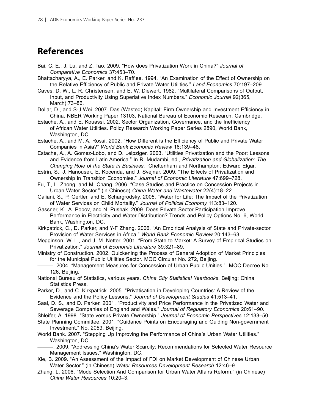### <span id="page-35-0"></span>**References**

- Bai, C. E., J. Lu, and Z. Tao. 2009. "How does Privatization Work in China?" *Journal of Comparative Economics* 37:453–70.
- Bhattacharyya, A., E. Parker, and K. Raffiee. 1994. "An Examination of the Effect of Ownership on the Relative Efficiency of Public and Private Water Utilities." *Land Economics* 70:197–209.

Caves, D. W., L. R. Christensen, and E. W. Diewert. 1982. "Multilateral Comparisons of Output, Input, and Productivity Using Superlative Index Numbers." *Economic Journal* 92(365, March):73–86.

Dollar, D., and S-J Wei. 2007. Das (Wasted) Kapital: Firm Ownership and Investment Efficiency in China. NBER Working Paper 13103, National Bureau of Economic Research, Cambridge.

Estache, A., and E. Kouassi. 2002. Sector Organization, Governance, and the Inefficiency of African Water Utilities. Policy Research Working Paper Series 2890, World Bank, Washington, DC.

Estache, A., and M. A. Rossi. 2002. "How Different is the Efficiency of Public and Private Water Companies in Asia?" *World Bank Economic Review* 16:139–48.

Estache, A., A. Gomez-Lobo, and D. Leipziger. 2003. "Utilities Privatization and the Poor: Lessons and Evidence from Latin America." In R. Mudambi, ed., *Privatization and Globalization: The Changing Role of the State in Business*. Cheltenham and Northampton: Edward Elgar.

Estrin, S., J. Hanousek, E. Kocenda, and J. Svejnar. 2009. "The Effects of Privatization and Ownership in Transition Economies." *Journal of Economic Literature* 47:699–728.

Fu, T., L. Zhong, and M. Chang. 2006. "Case Studies and Practice on Concession Projects in Urban Water Sector." (in Chinese) *China Water and Wastewater* 22(4):18–22.

Galiani, S., P. Gertler, and E. Schargrodsky. 2005. "Water for Life: The Impact of the Privatization of Water Services on Child Mortality." *Journal of Political Economy* 113:83–120.

Gassner, K., A. Popov, and N. Pushak. 2009. Does Private Sector Participation Improve Performance in Electricity and Water Distribution? Trends and Policy Options No. 6, World Bank, Washington, DC.

Kirkpatrick, C., D. Parker, and Y-F Zhang. 2006. "An Empirical Analysis of State and Private-sector Provision of Water Services in Africa." *World Bank Economic Review* 20:143–63.

Megginson, W. L., and J. M. Netter. 2001. "From State to Market: A Survey of Empirical Studies on Privatization." *Journal of Economic Literature* 39:321–89.

Ministry of Construction. 2002. Quickening the Process of General Adoption of Market Principles for the Municipal Public Utilities Sector. MOC Circular No. 272, Beijing.

-. 2004. "Management Measures for Concession of Urban Public Unities." MOC Decree No. 126, Beijing.

National Bureau of Statistics, various years. *China City Statistical Yearbooks*. Beijing: China Statistics Press.

Parker, D., and C. Kirkpatrick. 2005. "Privatisation in Developing Countries: A Review of the Evidence and the Policy Lessons." *Journal of Development Studies* 41:513–41.

Saal, D. S., and D. Parker. 2001. "Productivity and Price Performance in the Privatized Water and Sewerage Companies of England and Wales." *Journal of Regulatory Economics* 20:61–90.

Shleifer, A. 1998. "State versus Private Ownership." *Journal of Economic Perspectives* 12:133–50.

State Planning Committee. 2001. "Guidance Points on Encouraging and Guiding Non-government Investment." No. 2053, Beijing.

World Bank. 2007. "Stepping Up Improving the Performance of China's Urban Water Utilities." Washington, DC.

———. 2009. "Addressing China's Water Scarcity: Recommendations for Selected Water Resource Management Issues." Washington, DC.

Xie, B. 2009. "An Assessment of the Impact of FDI on Market Development of Chinese Urban Water Sector." (in Chinese) *Water Resources Development Research* 12:46–9.

Zhang, L. 2006. "Mode Selection And Comparison for Urban Water Affairs Reform." (in Chinese) *China Water Resources* 10:20–3.